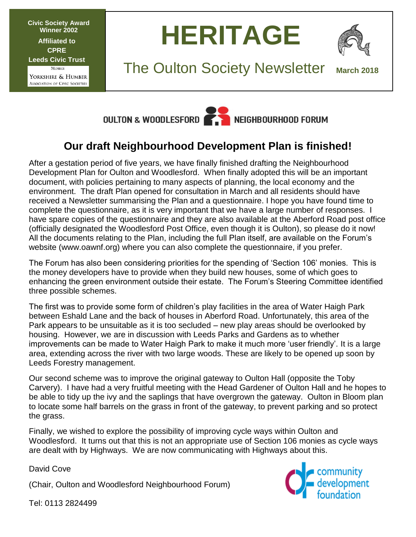**Civic Society Award Winner 2002 Affiliated to CPRE Leeds Civic Trust MEMBER** Yorkshire & Humber ASSOCIATION OF CIVIC SOCIETIES

**HERITAGE**



**The Oulton Society Newsletter** 



# **Our draft Neighbourhood Development Plan is finished!**

After a gestation period of five years, we have finally finished drafting the Neighbourhood Development Plan for Oulton and Woodlesford. When finally adopted this will be an important document, with policies pertaining to many aspects of planning, the local economy and the environment. The draft Plan opened for consultation in March and all residents should have received a Newsletter summarising the Plan and a questionnaire. I hope you have found time to complete the questionnaire, as it is very important that we have a large number of responses. I have spare copies of the questionnaire and they are also available at the Aberford Road post office (officially designated the Woodlesford Post Office, even though it is Oulton), so please do it now! All the documents relating to the Plan, including the full Plan itself, are available on the Forum's website (www.oawnf.org) where you can also complete the questionnaire, if you prefer.

The Forum has also been considering priorities for the spending of 'Section 106' monies. This is the money developers have to provide when they build new houses, some of which goes to enhancing the green environment outside their estate. The Forum's Steering Committee identified three possible schemes.

The first was to provide some form of children's play facilities in the area of Water Haigh Park between Eshald Lane and the back of houses in Aberford Road. Unfortunately, this area of the Park appears to be unsuitable as it is too secluded – new play areas should be overlooked by housing. However, we are in discussion with Leeds Parks and Gardens as to whether improvements can be made to Water Haigh Park to make it much more 'user friendly'. It is a large area, extending across the river with two large woods. These are likely to be opened up soon by Leeds Forestry management.

Our second scheme was to improve the original gateway to Oulton Hall (opposite the Toby Carvery). I have had a very fruitful meeting with the Head Gardener of Oulton Hall and he hopes to be able to tidy up the ivy and the saplings that have overgrown the gateway. Oulton in Bloom plan to locate some half barrels on the grass in front of the gateway, to prevent parking and so protect the grass.

Finally, we wished to explore the possibility of improving cycle ways within Oulton and Woodlesford. It turns out that this is not an appropriate use of Section 106 monies as cycle ways are dealt with by Highways. We are now communicating with Highways about this.

David Cove

(Chair, Oulton and Woodlesford Neighbourhood Forum)



Tel: 0113 2824499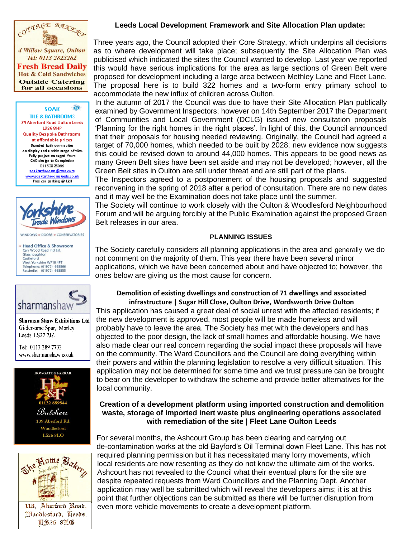

ō **SOAK TILE & BATHROOMS** 74 Aberford Road Oulton Leeds LS268HP **Quality Bespoke Bathrooms** at affordable prices Branded bathroom suites on display and a wide range of tiles. Fully project managed from CAD design to Completion 01132828999 soakbathrooms@msn.com www.soakbathroomsleeds.co.uk Free car parking @ Lidl



WINDOWS - DOORS - CONSERVATORIES

- Head Office & Showroom Carr Wood Road Ind Est<br>Glasshoughton Castleford West Yorkshire WF10 4PT Telephone: (01977) 668866<br>Facsimile: (01977) 668855



**Sharman Shaw Exhibitions Ltd** Gildersome Spur, Morley Leeds LS27 7JZ

Tel: 0113 289 7733 www.sharmanshaw.co.uk





**T\$26 8T6** 

# **Leeds Local Development Framework and Site Allocation Plan update:**

Three years ago, the Council adopted their Core Strategy, which underpins all decisions as to where development will take place; subsequently the Site Allocation Plan was publicised which indicated the sites the Council wanted to develop. Last year we reported this would have serious implications for the area as large sections of Green Belt were proposed for development including a large area between Methley Lane and Fleet Lane. The proposal here is to build 322 homes and a two-form entry primary school to accommodate the new influx of children across Oulton.

In the autumn of 2017 the Council was due to have their Site Allocation Plan publically examined by Government Inspectors; however on 14th September 2017 the Department of Communities and Local Government (DCLG) issued new consultation proposals 'Planning for the right homes in the right places'. In light of this, the Council announced that their proposals for housing needed reviewing. Originally, the Council had agreed a target of 70,000 homes, which needed to be built by 2028; new evidence now suggests this could be revised down to around 44,000 homes. This appears to be good news as many Green Belt sites have been set aside and may not be developed; however, all the Green Belt sites in Oulton are still under threat and are still part of the plans.

The Inspectors agreed to a postponement of the housing proposals and suggested reconvening in the spring of 2018 after a period of consultation. There are no new dates and it may well be the Examination does not take place until the summer.

The Society will continue to work closely with the Oulton & Woodlesford Neighbourhood Forum and will be arguing forcibly at the Public Examination against the proposed Green Belt releases in our area.

## **PLANNING ISSUES**

The Society carefully considers all planning applications in the area and generally we do not comment on the majority of them. This year there have been several minor applications, which we have been concerned about and have objected to; however, the ones below are giving us the most cause for concern.

# **Demolition of existing dwellings and construction of 71 dwellings and associated infrastructure | Sugar Hill Close, Oulton Drive, Wordsworth Drive Oulton**

This application has caused a great deal of social unrest with the affected residents; if the new development is approved, most people will be made homeless and will probably have to leave the area. The Society has met with the developers and has objected to the poor design, the lack of small homes and affordable housing. We have also made clear our real concern regarding the social impact these proposals will have on the community. The Ward Councillors and the Council are doing everything within their powers and within the planning legislation to resolve a very difficult situation. This application may not be determined for some time and we trust pressure can be brought to bear on the developer to withdraw the scheme and provide better alternatives for the local community.

# **Creation of a development platform using imported construction and demolition waste, storage of imported inert waste plus engineering operations associated with remediation of the site | Fleet Lane Oulton Leeds**

For several months, the Ashcourt Group has been clearing and carrying out de-contamination works at the old Bayford's Oil Terminal down Fleet Lane. This has not required planning permission but it has necessitated many lorry movements, which local residents are now resenting as they do not know the ultimate aim of the works. Ashcourt has not revealed to the Council what their eventual plans for the site are despite repeated requests from Ward Councillors and the Planning Dept. Another application may well be submitted which will reveal the developers aims; it is at this point that further objections can be submitted as there will be further disruption from even more vehicle movements to create a development platform.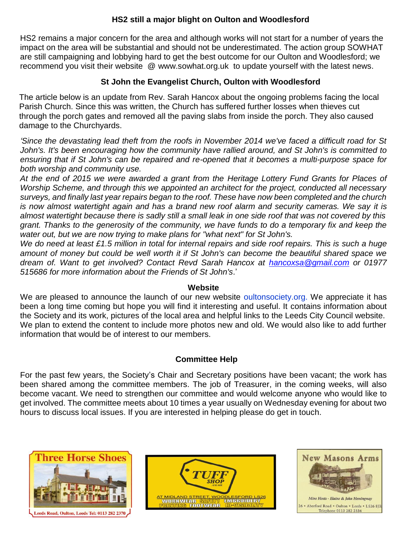# **HS2 still a major blight on Oulton and Woodlesford**

HS2 remains a major concern for the area and although works will not start for a number of years the impact on the area will be substantial and should not be underestimated. The action group SOWHAT are still campaigning and lobbying hard to get the best outcome for our Oulton and Woodlesford; we recommend you visit their website @ www.sowhat.org.uk to update yourself with the latest news.

# **St John the Evangelist Church, Oulton with Woodlesford**

The article below is an update from Rev. Sarah Hancox about the ongoing problems facing the local Parish Church. Since this was written, the Church has suffered further losses when thieves cut through the porch gates and removed all the paving slabs from inside the porch. They also caused damage to the Churchyards.

*'Since the devastating lead theft from the roofs in November 2014 we've faced a difficult road for St John's. It's been encouraging how the community have rallied around, and St John's is committed to ensuring that if St John's can be repaired and re-opened that it becomes a multi-purpose space for both worship and community use.* 

*At the end of 2015 we were awarded a grant from the Heritage Lottery Fund Grants for Places of Worship Scheme, and through this we appointed an architect for the project, conducted all necessary surveys, and finally last year repairs began to the roof. These have now been completed and the church is now almost watertight again and has a brand new roof alarm and security cameras. We say it is almost watertight because there is sadly still a small leak in one side roof that was not covered by this grant. Thanks to the generosity of the community, we have funds to do a temporary fix and keep the water out, but we are now trying to make plans for "what next" for St John's.*

*We do need at least £1.5 million in total for internal repairs and side roof repairs. This is such a huge amount of money but could be well worth it if St John's can become the beautiful shared space we dream of. Want to get involved? Contact Revd Sarah Hancox at [hancoxsa@gmail.com](mailto:hancoxsa@gmail.com) or 01977 515686 for more information about the Friends of St John's*.'

# **Website**

We are pleased to announce the launch of our new website oultonsociety.org. We appreciate it has been a long time coming but hope you will find it interesting and useful. It contains information about the Society and its work, pictures of the local area and helpful links to the Leeds City Council website. We plan to extend the content to include more photos new and old. We would also like to add further information that would be of interest to our members.

# **Committee Help**

For the past few years, the Society's Chair and Secretary positions have been vacant; the work has been shared among the committee members. The job of Treasurer, in the coming weeks, will also become vacant. We need to strengthen our committee and would welcome anyone who would like to get involved. The committee meets about 10 times a year usually on Wednesday evening for about two hours to discuss local issues. If you are interested in helping please do get in touch.